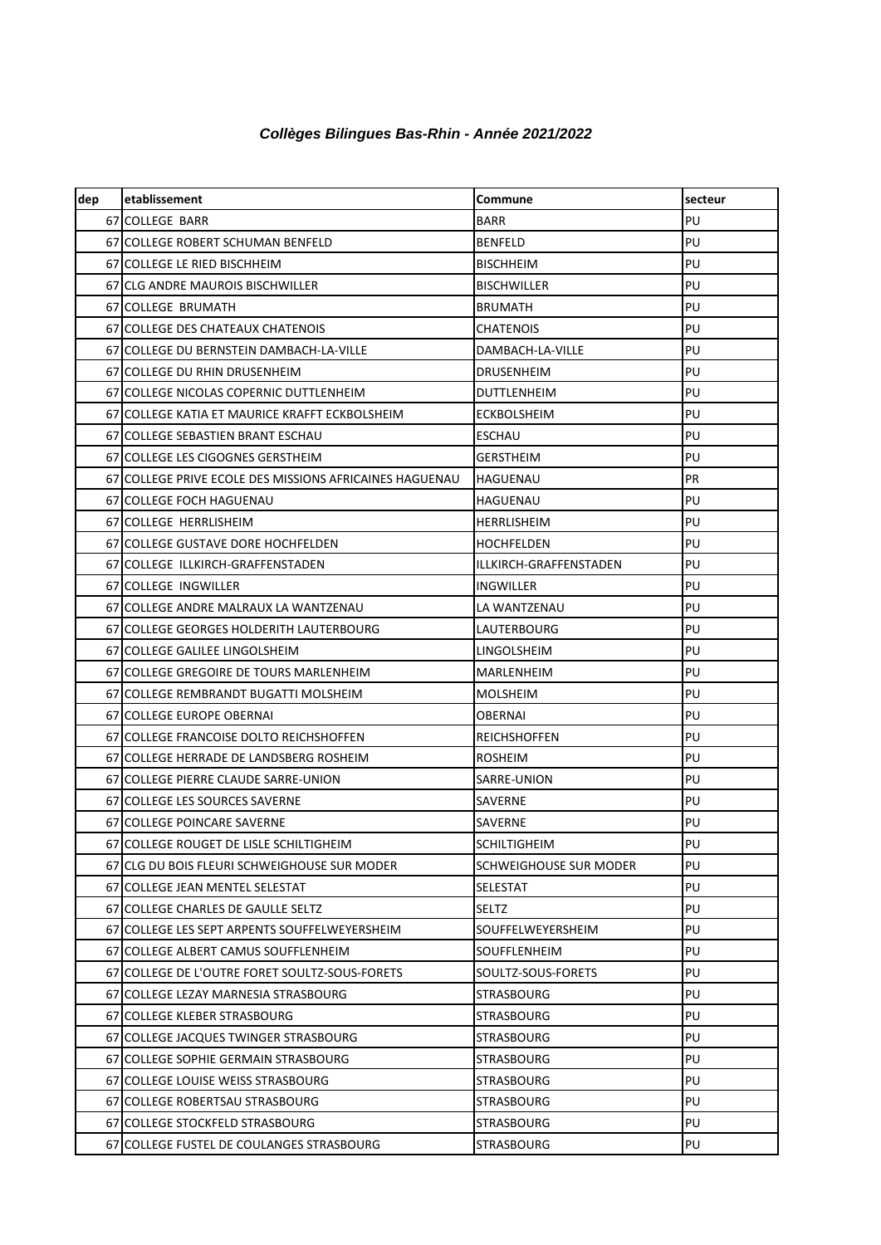## *Collèges Bilingues Bas-Rhin - Année 2021/2022*

| dep | etablissement                                           | Commune                | secteur   |
|-----|---------------------------------------------------------|------------------------|-----------|
|     | 67 COLLEGE BARR                                         | BARR                   | PU        |
|     | 67 COLLEGE ROBERT SCHUMAN BENFELD                       | <b>BENFELD</b>         | PU        |
|     | 67 COLLEGE LE RIED BISCHHEIM                            | <b>BISCHHEIM</b>       | PU        |
|     | 67 CLG ANDRE MAUROIS BISCHWILLER                        | <b>BISCHWILLER</b>     | PU        |
|     | 67 COLLEGE BRUMATH                                      | BRUMATH                | PU        |
|     | 67 COLLEGE DES CHATEAUX CHATENOIS                       | CHATENOIS              | PU        |
|     | 67 COLLEGE DU BERNSTEIN DAMBACH-LA-VILLE                | DAMBACH-LA-VILLE       | PU        |
|     | 67 COLLEGE DU RHIN DRUSENHEIM                           | DRUSENHEIM             | PU        |
|     | 67 COLLEGE NICOLAS COPERNIC DUTTLENHEIM                 | DUTTLENHEIM            | PU        |
|     | 67 COLLEGE KATIA ET MAURICE KRAFFT ECKBOLSHEIM          | <b>ECKBOLSHEIM</b>     | PU        |
|     | 67 COLLEGE SEBASTIEN BRANT ESCHAU                       | ESCHAU                 | PU        |
|     | 67 COLLEGE LES CIGOGNES GERSTHEIM                       | GERSTHEIM              | PU        |
|     | 67 COLLEGE PRIVE ECOLE DES MISSIONS AFRICAINES HAGUENAU | HAGUENAU               | <b>PR</b> |
|     | 67 COLLEGE FOCH HAGUENAU                                | HAGUENAU               | PU        |
|     | 67 COLLEGE HERRLISHEIM                                  | HERRLISHEIM            | PU        |
|     | 67 COLLEGE GUSTAVE DORE HOCHFELDEN                      | HOCHFELDEN             | PU        |
|     | 67 COLLEGE ILLKIRCH-GRAFFENSTADEN                       | ILLKIRCH-GRAFFENSTADEN | PU        |
|     | 67 COLLEGE INGWILLER                                    | INGWILLER              | PU        |
|     | 67 COLLEGE ANDRE MALRAUX LA WANTZENAU                   | LA WANTZENAU           | PU        |
|     | 67 COLLEGE GEORGES HOLDERITH LAUTERBOURG                | LAUTERBOURG            | PU        |
|     | 67 COLLEGE GALILEE LINGOLSHEIM                          | LINGOLSHEIM            | PU        |
|     | 67 COLLEGE GREGOIRE DE TOURS MARLENHEIM                 | MARLENHEIM             | PU        |
|     | 67 COLLEGE REMBRANDT BUGATTI MOLSHEIM                   | MOLSHEIM               | PU        |
|     | 67 COLLEGE EUROPE OBERNAI                               | OBERNAI                | PU        |
|     | 67 COLLEGE FRANCOISE DOLTO REICHSHOFFEN                 | <b>REICHSHOFFEN</b>    | PU        |
|     | 67 COLLEGE HERRADE DE LANDSBERG ROSHEIM                 | <b>ROSHEIM</b>         | PU        |
|     | 67 COLLEGE PIERRE CLAUDE SARRE-UNION                    | SARRE-UNION            | PU        |
|     | 67 COLLEGE LES SOURCES SAVERNE                          | SAVERNE                | PU        |
|     | 67 COLLEGE POINCARE SAVERNE                             | SAVERNE                | PU        |
|     | 67 COLLEGE ROUGET DE LISLE SCHILTIGHEIM                 | <b>SCHILTIGHEIM</b>    | PU        |
|     | 67 CLG DU BOIS FLEURI SCHWEIGHOUSE SUR MODER            | SCHWEIGHOUSE SUR MODER | PU        |
|     | 67 COLLEGE JEAN MENTEL SELESTAT                         | <b>SELESTAT</b>        | PU        |
|     | 67 COLLEGE CHARLES DE GAULLE SELTZ                      | SELTZ                  | PU        |
|     | 67 COLLEGE LES SEPT ARPENTS SOUFFELWEYERSHEIM           | SOUFFELWEYERSHEIM      | PU        |
|     | 67 COLLEGE ALBERT CAMUS SOUFFLENHEIM                    | SOUFFLENHEIM           | PU        |
|     | 67 COLLEGE DE L'OUTRE FORET SOULTZ-SOUS-FORETS          | SOULTZ-SOUS-FORETS     | PU        |
|     | 67 COLLEGE LEZAY MARNESIA STRASBOURG                    | STRASBOURG             | PU        |
|     | 67 COLLEGE KLEBER STRASBOURG                            | STRASBOURG             | PU        |
|     | 67 COLLEGE JACQUES TWINGER STRASBOURG                   | STRASBOURG             | PU        |
|     | 67 COLLEGE SOPHIE GERMAIN STRASBOURG                    | STRASBOURG             | PU        |
|     | 67 COLLEGE LOUISE WEISS STRASBOURG                      | STRASBOURG             | PU        |
|     | 67 COLLEGE ROBERTSAU STRASBOURG                         | STRASBOURG             | PU        |
|     | 67 COLLEGE STOCKFELD STRASBOURG                         | STRASBOURG             | PU        |
|     | 67 COLLEGE FUSTEL DE COULANGES STRASBOURG               | STRASBOURG             | PU        |